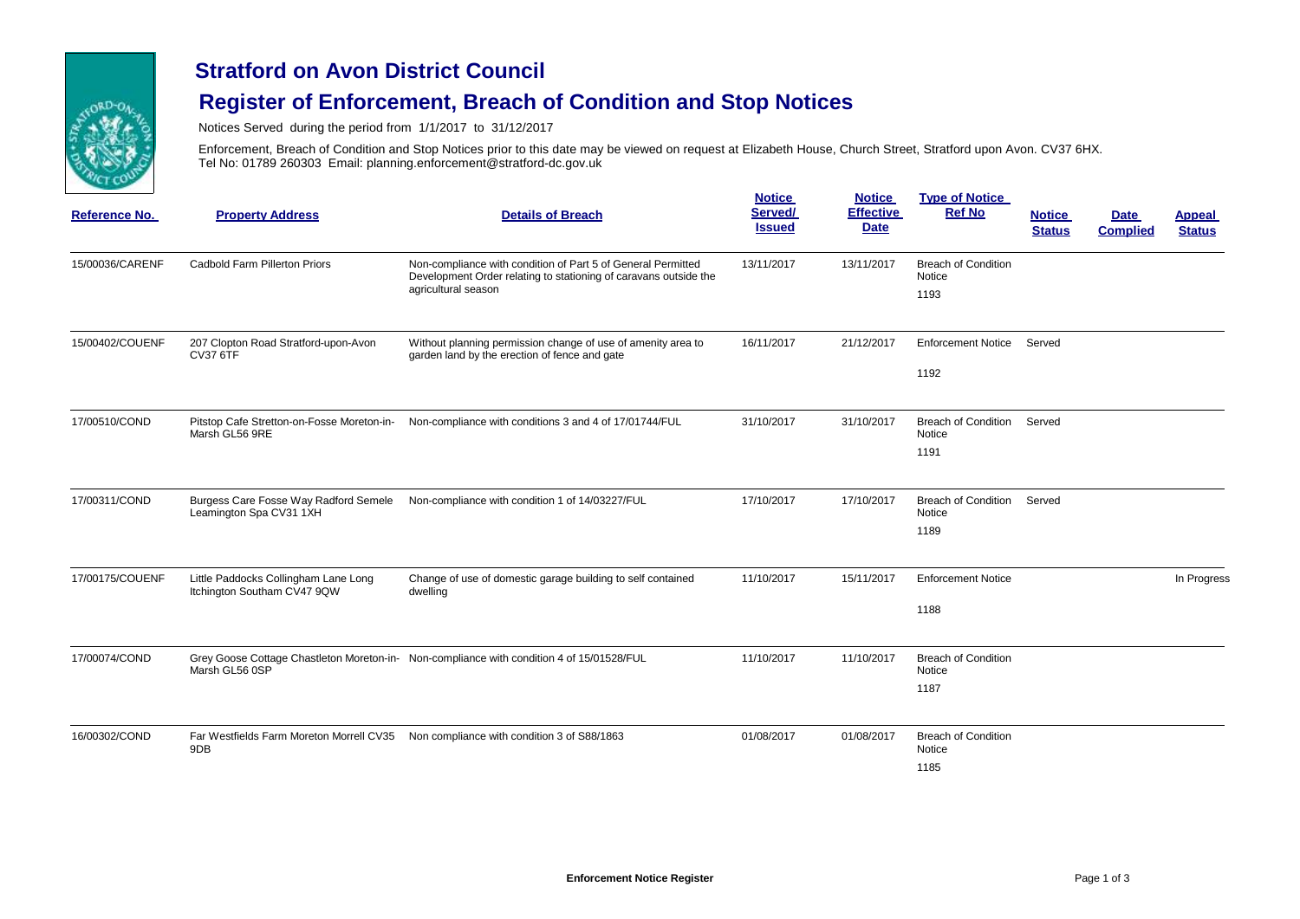

#### **Stratford on Avon District Council**

# **Register of Enforcement, Breach of Condition and Stop Notices**

Notices Served during the period from 1/1/2017 to 31/12/2017

Enforcement, Breach of Condition and Stop Notices prior to this date may be viewed on request at Elizabeth House, Church Street, Stratford upon Avon. CV37 6HX. Tel No: 01789 260303 Email: planning.enforcement@stratford-dc.gov.uk

| Reference No.   | <b>Property Address</b>                                             | <b>Details of Breach</b>                                                                                                                                | <b>Notice</b><br>Served/<br><b>Issued</b> | <b>Notice</b><br><b>Effective</b><br><b>Date</b> | <b>Type of Notice</b><br><b>Ref No</b>       | <b>Notice</b><br><b>Status</b> | <b>Date</b><br><b>Complied</b> | <b>Appeal</b><br><b>Status</b> |
|-----------------|---------------------------------------------------------------------|---------------------------------------------------------------------------------------------------------------------------------------------------------|-------------------------------------------|--------------------------------------------------|----------------------------------------------|--------------------------------|--------------------------------|--------------------------------|
| 15/00036/CARENF | Cadbold Farm Pillerton Priors                                       | Non-compliance with condition of Part 5 of General Permitted<br>Development Order relating to stationing of caravans outside the<br>agricultural season | 13/11/2017                                | 13/11/2017                                       | <b>Breach of Condition</b><br>Notice<br>1193 |                                |                                |                                |
| 15/00402/COUENF | 207 Clopton Road Stratford-upon-Avon<br><b>CV37 6TF</b>             | Without planning permission change of use of amenity area to<br>garden land by the erection of fence and gate                                           | 16/11/2017                                | 21/12/2017                                       | <b>Enforcement Notice</b><br>1192            | Served                         |                                |                                |
| 17/00510/COND   | Marsh GL56 9RE                                                      | Pitstop Cafe Stretton-on-Fosse Moreton-in-<br>Non-compliance with conditions 3 and 4 of 17/01744/FUL                                                    | 31/10/2017                                | 31/10/2017                                       | <b>Breach of Condition</b><br>Notice<br>1191 | Served                         |                                |                                |
| 17/00311/COND   | Burgess Care Fosse Way Radford Semele<br>Leamington Spa CV31 1XH    | Non-compliance with condition 1 of 14/03227/FUL                                                                                                         | 17/10/2017                                | 17/10/2017                                       | <b>Breach of Condition</b><br>Notice<br>1189 | Served                         |                                |                                |
| 17/00175/COUENF | Little Paddocks Collingham Lane Long<br>Itchington Southam CV47 9QW | Change of use of domestic garage building to self contained<br>dwelling                                                                                 | 11/10/2017                                | 15/11/2017                                       | <b>Enforcement Notice</b><br>1188            |                                |                                | In Progress                    |
| 17/00074/COND   | Marsh GL56 0SP                                                      | Grey Goose Cottage Chastleton Moreton-in- Non-compliance with condition 4 of 15/01528/FUL                                                               | 11/10/2017                                | 11/10/2017                                       | <b>Breach of Condition</b><br>Notice<br>1187 |                                |                                |                                |
| 16/00302/COND   | Far Westfields Farm Moreton Morrell CV35<br>9DB                     | Non compliance with condition 3 of S88/1863                                                                                                             | 01/08/2017                                | 01/08/2017                                       | <b>Breach of Condition</b><br>Notice<br>1185 |                                |                                |                                |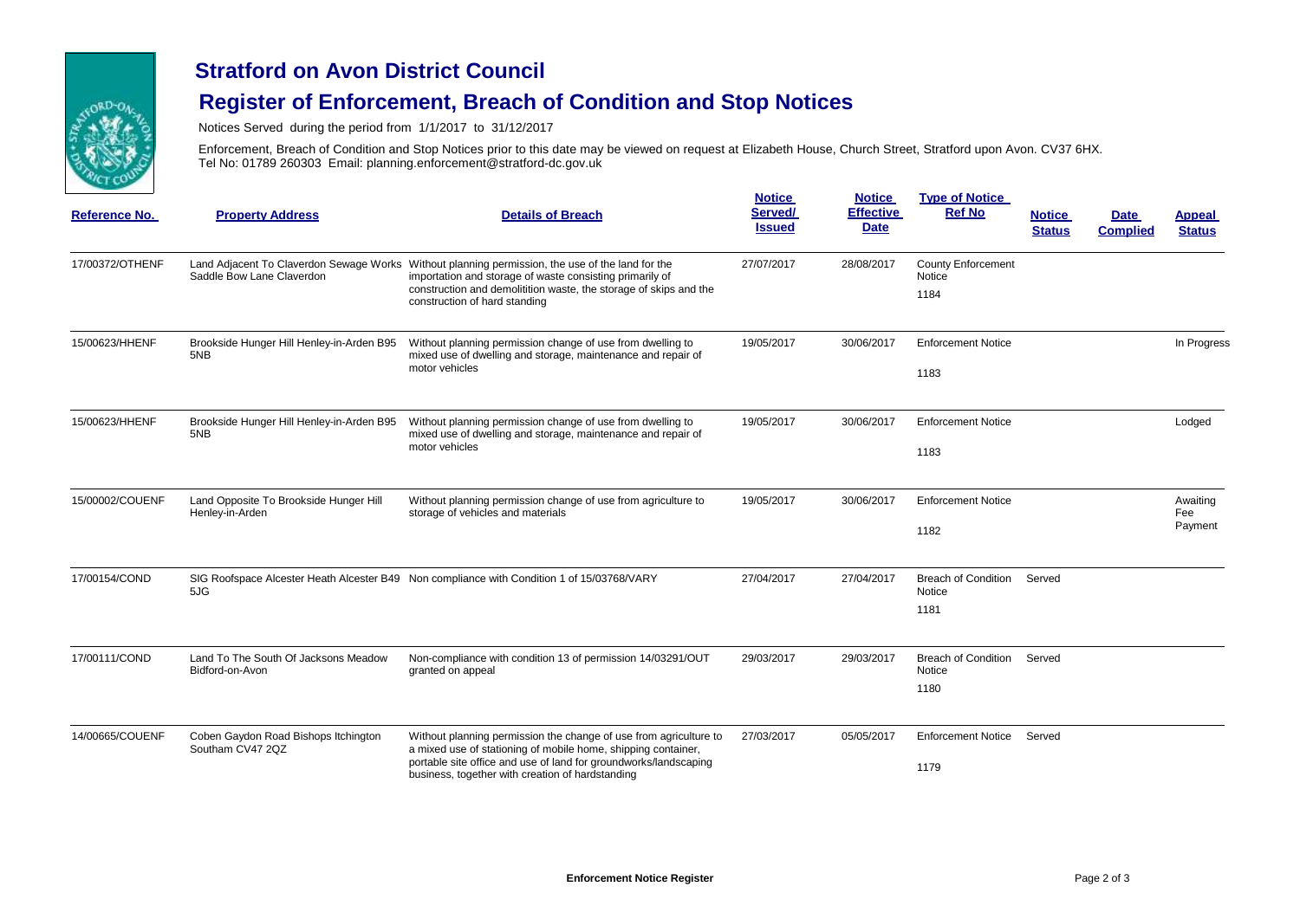

### **Stratford on Avon District Council**

# **Register of Enforcement, Breach of Condition and Stop Notices**

Notices Served during the period from 1/1/2017 to 31/12/2017

Enforcement, Breach of Condition and Stop Notices prior to this date may be viewed on request at Elizabeth House, Church Street, Stratford upon Avon. CV37 6HX. Tel No: 01789 260303 Email: planning.enforcement@stratford-dc.gov.uk

| Reference No.   | <b>Property Address</b>                                   | <b>Details of Breach</b>                                                                                                                                                                                                                                           | <b>Notice</b><br>Served/<br><b>Issued</b> | <b>Notice</b><br><b>Effective</b><br><b>Date</b> | <b>Type of Notice</b><br><b>Ref No</b>       | <b>Notice</b><br><b>Status</b> | <b>Date</b><br><b>Complied</b> | Appeal<br><b>Status</b>    |
|-----------------|-----------------------------------------------------------|--------------------------------------------------------------------------------------------------------------------------------------------------------------------------------------------------------------------------------------------------------------------|-------------------------------------------|--------------------------------------------------|----------------------------------------------|--------------------------------|--------------------------------|----------------------------|
| 17/00372/OTHENF | Saddle Bow Lane Claverdon                                 | Land Adjacent To Claverdon Sewage Works Without planning permission, the use of the land for the<br>importation and storage of waste consisting primarily of<br>construction and demolitition waste, the storage of skips and the<br>construction of hard standing | 27/07/2017                                | 28/08/2017                                       | <b>County Enforcement</b><br>Notice<br>1184  |                                |                                |                            |
| 15/00623/HHENF  | Brookside Hunger Hill Henley-in-Arden B95<br>5NB          | Without planning permission change of use from dwelling to<br>mixed use of dwelling and storage, maintenance and repair of<br>motor vehicles                                                                                                                       | 19/05/2017                                | 30/06/2017                                       | <b>Enforcement Notice</b><br>1183            |                                |                                | In Progress                |
| 15/00623/HHENF  | Brookside Hunger Hill Henley-in-Arden B95<br>5NB          | Without planning permission change of use from dwelling to<br>mixed use of dwelling and storage, maintenance and repair of<br>motor vehicles                                                                                                                       | 19/05/2017                                | 30/06/2017                                       | <b>Enforcement Notice</b><br>1183            |                                |                                | Lodged                     |
| 15/00002/COUENF | Land Opposite To Brookside Hunger Hill<br>Henley-in-Arden | Without planning permission change of use from agriculture to<br>storage of vehicles and materials                                                                                                                                                                 | 19/05/2017                                | 30/06/2017                                       | <b>Enforcement Notice</b><br>1182            |                                |                                | Awaiting<br>Fee<br>Payment |
| 17/00154/COND   | 5JG                                                       | SIG Roofspace Alcester Heath Alcester B49 Non compliance with Condition 1 of 15/03768/VARY                                                                                                                                                                         | 27/04/2017                                | 27/04/2017                                       | <b>Breach of Condition</b><br>Notice<br>1181 | Served                         |                                |                            |
| 17/00111/COND   | Land To The South Of Jacksons Meadow<br>Bidford-on-Avon   | Non-compliance with condition 13 of permission 14/03291/OUT<br>granted on appeal                                                                                                                                                                                   | 29/03/2017                                | 29/03/2017                                       | <b>Breach of Condition</b><br>Notice<br>1180 | Served                         |                                |                            |
| 14/00665/COUENF | Coben Gaydon Road Bishops Itchington<br>Southam CV47 2QZ  | Without planning permission the change of use from agriculture to<br>a mixed use of stationing of mobile home, shipping container,<br>portable site office and use of land for groundworks/landscaping<br>business, together with creation of hardstanding         | 27/03/2017                                | 05/05/2017                                       | <b>Enforcement Notice</b><br>1179            | Served                         |                                |                            |